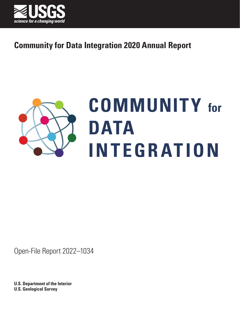



# **COMMUNITY for DATA INTEGRATION**

Open-File Report 2022–1034

**U.S. Department of the Interior U.S. Geological Survey**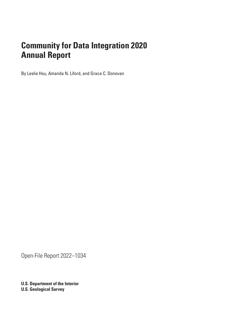By Leslie Hsu, Amanda N. Liford, and Grace C. Donovan

Open-File Report 2022–1034

**U.S. Department of the Interior U.S. Geological Survey**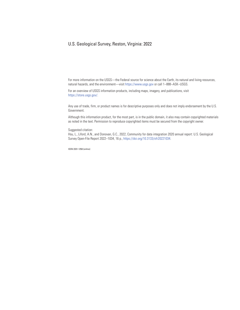## U.S. Geological Survey, Reston, Virginia: 2022

For more information on the USGS—the Federal source for science about the Earth, its natural and living resources, natural hazards, and the environment—visit https://www.usgs.gov or call 1–888–ASK–USGS.

For an overview of USGS information products, including maps, imagery, and publications, visit https://store.usgs.gov/.

Any use of trade, firm, or product names is for descriptive purposes only and does not imply endorsement by the U.S. Government.

Although this information product, for the most part, is in the public domain, it also may contain copyrighted materials as noted in the text. Permission to reproduce copyrighted items must be secured from the copyright owner.

Suggested citation:

Hsu, L., Liford, A.N., and Donovan, G.C., 2022, Community for data integration 2020 annual report: U.S. Geological Survey Open-File Report 2022–1034, 16 p., [https://doi.org/10.3133/ofr20221034.](https://doi.org/10.3133/ofr20221034)

ISSN 2331-1258 (online)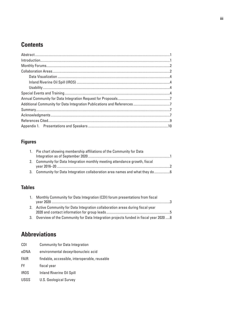## **Contents**

## **Figures**

| 1. Pie chart showing membership affiliations of the Community for Data        |  |
|-------------------------------------------------------------------------------|--|
|                                                                               |  |
| 2. Community for Data Integration monthly meeting attendance growth, fiscal   |  |
| 3. Community for Data Integration collaboration area names and what they do 6 |  |

## **Tables**

| 1. Monthly Community for Data Integration (CDI) forum presentations from fiscal         |  |
|-----------------------------------------------------------------------------------------|--|
| 2. Active Community for Data Integration collaboration areas during fiscal year         |  |
| 3. Overview of the Community for Data Integration projects funded in fiscal year 2020 8 |  |

# **Abbreviations**

| CDI         | <b>Community for Data Integration</b>         |
|-------------|-----------------------------------------------|
| eDNA        | environmental deoxyribonucleic acid           |
| <b>FAIR</b> | findable, accessible, interoperable, reusable |
| FY.         | fiscal year                                   |
| <b>IROS</b> | <b>Inland Riverine Oil Spill</b>              |
| <b>USGS</b> | U.S. Geological Survey                        |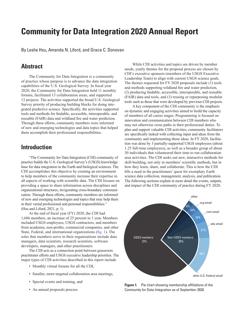<span id="page-6-2"></span>By Leslie Hsu, Amanda N. Liford, and Grace C. Donovan

## <span id="page-6-0"></span>**Abstract**

The Community for Data Integration is a community of practice whose purpose is to advance the data integration capabilities of the U.S. Geological Survey. In fiscal year 2020, the Community for Data Integration held 11 monthly forums, facilitated 13 collaboration areas, and supported 13 projects. The activities supported the broad U.S. Geological Survey priority of producing building blocks for doing integrated predictive science. Specifically, the activities supported tools and methods for findable, accessible, interoperable, and reusable (FAIR) data and wildland fire and water prediction. Through these efforts, community members were informed of new and emerging technologies and data topics that helped them accomplish their professional responsibilities.

## <span id="page-6-1"></span>**Introduction**

"The Community for Data Integration (CDI) community of practice builds the U.S. Geological Survey's (USGS) knowledge base for data integration in the Earth and biological sciences. The CDI accomplishes this objective by creating an environment to help members of the community increase their expertise in all aspects of working with scientific data. The CDI focuses on providing a space to share information across disciplines and organizational structures, invigorating cross-boundary communication. Through these efforts, community members are informed of new and emerging technologies and topics that may help them in their varied professional and personal responsibilities." [\(Hsu and Liford, 2021](#page-14-1), p. 1)

At the end of fiscal year (FY) 2020, the CDI had 1,686 members, an increase of 25 percent in 1 year. Members included USGS employees, USGS contractors, and members from academia, non-profits, commercial companies, and other State, Federal, and international organizations ([fig.](#page-6-3) 1). The roles that members serve in their organizations include data managers, data scientists, research scientists, software developers, managers, and other practitioners.

The CDI acts as a connection point between grassroots practitioner efforts and USGS executive leadership priorities. The major types of CDI activities described in this report include

- Monthly virtual forums for all the CDI,
- Smaller, more targeted collaboration area meetings,
- Special events and training, and
- An annual proposals process.

While CDI activities and topics are driven by member needs, yearly themes for the proposal process are chosen by CDI's executive sponsors (members of the USGS Executive Leadership Team) to align with current USGS science goals. The themes requested for FY 2020 proposals include (1) tools and methods supporting wildland fire and water prediction, (2) producing findable, accessible, interoperable, and reusable (FAIR) data and tools, and (3) reusing or repurposing modular tools such as those that were developed by previous CDI projects.

A key component of the CDI community is the emphasis on dynamic and engaging activities aimed to build the capacity of members of all career stages. Programming is focused on innovation and communication between CDI members who may not otherwise cross paths in their professional duties. To plan and support valuable CDI activities, community facilitators are specifically tasked with collecting input and ideas from the community and implementing those ideas. In FY 2020, facilitation was done by 3 partially-supported USGS employees (about 1.25 full-time employees), as well as a broader group of about 30 individuals that volunteered their time to run collaboration area activities. The CDI seeks out new, interactive methods for skill-building, not only in members' scientific methods, but in how they learn, share, and collaborate. This is how the CDI fills a need in the practitioners' quest for exemplary Earth science data collection, management, analysis, and publication. The following sections explain in more detail the events, outputs, and impact of the CDI community of practice during FY 2020.



<span id="page-6-3"></span>**Figure 1.** Pie chart showing membership affiliations of the Community for Data Integration as of September 2020.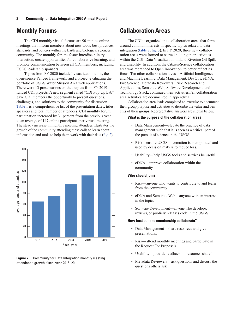## <span id="page-7-2"></span><span id="page-7-0"></span>**Monthly Forums**

The CDI monthly virtual forums are 90-minute online meetings that inform members about new tools, best practices, standards, and policies within the Earth and biological sciences community. The monthly forums foster interdisciplinary interaction, create opportunities for collaborative learning, and promote communication between all CDI members, including USGS leadership sponsors.

Topics from FY 2020 included visualization tools, the open-source Pangeo framework, and a project evaluating the portfolio of USGS Water Mission Area web applications. There were 13 presentations on the outputs from FY 2019 funded CDI projects. A new segment called "CDI Pop-Up Lab" gave CDI members the opportunity to present questions, challenges, and solutions to the community for discussion. [Table 1](#page-8-0) is a comprehensive list of the presentation dates, titles, speakers and total number of attendees. CDI monthly forum participation increased by 31 percent from the previous year to an average of 147 online participants per virtual meeting. The steady increase in monthly meeting attendees illustrates the growth of the community attending these calls to learn about information and tools to help them work with their data ([fig.](#page-7-3) 2).



<span id="page-7-3"></span>**Figure 2.** Community for Data Integration monthly meeting attendance growth, fiscal year 2016–20.

## <span id="page-7-1"></span>**Collaboration Areas**

The CDI is organized into collaboration areas that form around common interests in specific topics related to data integration [\(table](#page-10-1) 2, [fig.](#page-11-1) 3). In FY 2020, three new collaboration areas were formed or started holding their activities within the CDI: Data Visualization, Inland Riverine Oil Spill, and Usability. In addition, the Citizen-Science collaboration area was rebranded to Open Innovation, to better reflect its focus. Ten other collaboration areas—Artificial Intelligence and Machine Learning, Data Management, DevOps, eDNA, Fire Science, Metadata Reviewers, Risk Research and Applications, Semantic Web, Software Development, and Technology Stack, continued their activities. All collaboration area activities are documented in appendix 1.

Collaboration area leads completed an exercise to document their group purpose and activities to describe the value and benefits of their groups. Representative answers are shown below.

#### **What is the purpose of the collaboration area?**

- Data Management—elevate the practice of data management such that it is seen as a critical part of the pursuit of science in the USGS.
- Risk—ensure USGS information is incorporated and used by decision makers to reduce loss.
- Usability—help USGS tools and services be useful.
- eDNA—improve collaboration within the community

## **Who should join?**

- Risk—anyone who wants to contribute to and learn from the community.
- eDNA and Semantic Web—anyone with an interest in the topic.
- Software Development—anyone who develops, reviews, or publicly releases code in the USGS.

## **How best can the membership collaborate?**

- Data Management—share resources and give presentations.
- Risk—attend monthly meetings and participate in the Request For Proposals.
- Usability—provide feedback on resources shared.
- Metadata Reviewers—ask questions and discuss the questions others ask.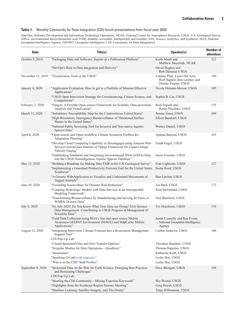#### <span id="page-8-0"></span>**Table 1.** Monthly Community for Data Integration (CDI) forum presentations from fiscal year 2020.

[DevOps, Software Development and Information Technology Operations; NCAR, National Center for Atmospheric Research; USGS, U.S. Geological Survey; eDNA, environmental deoxyribonucleic acid; FAIR, findable, accessible, interoperable and reusable; SAS, Science, Analytics, and Synthesis; NGA, National Geospatial-Intelligence Agency; GEOINT, Geospatial Intelligence; CDI, Community for Data Integration]

| <b>Date</b>       | Title(s)                                                                                                                                                     | Speaker(s)                                                                             | <b>Number of</b><br>attendees |
|-------------------|--------------------------------------------------------------------------------------------------------------------------------------------------------------|----------------------------------------------------------------------------------------|-------------------------------|
| October 9, 2019   | "Packaging Data and Software: Jupyter as a Publication Platform"                                                                                             | Keith Maull and<br>Matthew Mayernik, NCAR                                              | 112                           |
|                   | "DevOps's Role in Data integration and Delivery"                                                                                                             | David Hughes and<br>Rob Djurasaj, USGS                                                 |                               |
| November 13, 2019 | "Visualization Tools at the USGS"                                                                                                                            | Lindsay Platt, Laura DeCicco,<br>Rich Signell, Ben Letcher, and<br>Dionne Zoanni, USGS | 190                           |
| January 8, 2020   | "Application Evaluation: How to get to a Portfolio of Mission Effective<br>Applications"                                                                     | Nicole Herman-Mercer, USGS                                                             | 105                           |
|                   | "USGS Open Innovation Strategy for Crowdsourcing, Citizen Science, and<br>Competitions"                                                                      | Sophia B. Liu, USGS                                                                    |                               |
| February 2, 2020  | "Pangeo: A Flexible Open-source Framework for Scalable, Data-proximate<br>Analysis and Visualization"                                                        | Rich Signell and<br>Renee Pieschke, USGS                                               | 155                           |
| March 11, 2020    | "Subsidence Susceptibility Map for the Conterminous United States"                                                                                           | Jeanne Jones, USGS                                                                     | 109                           |
|                   | "High-Resolution, Interagency Biosurveillance of Threatened Surface<br>Waters in the United States"                                                          | Elliott Barnhart, USGS                                                                 |                               |
|                   | "National Public Screening Tool for Invasive and Non-native Aquatic<br>Species Data"                                                                         | Wesley Daniel, USGS                                                                    |                               |
| April 8, 2020     | "Open-source and Open-workflow Climate Scenarios Toolbox for<br>Adaptation Planning"                                                                         | Aparna Bamzai, USGS                                                                    | 165                           |
|                   | "Develop Cloud Computing Capability at Streamgages using Amazon Web<br>Services GreenGrass Internet of Things Framework for Camera Image<br>Velocity Gaging" | Frank Engel, USGS                                                                      |                               |
|                   | "Establishing Standards and Integrating environmental DNA (eDNA) Data<br>into the USGS Nonindigenous Aquatic Species Database"                               | Jason Ferrante, USGS                                                                   |                               |
| May 13, 2020      | "Building a Roadmap for Making Data FAIR in the U.S. Geological Survey"                                                                                      | Fran Lightsom, USGS                                                                    | 127                           |
|                   | "Implementing a Grassland Productivity Forecast Tool for the United States<br>Southwest"                                                                     | Sasha Reed, USGS                                                                       |                               |
|                   | "A Generic Web Application to Visualize and Understand Movements of<br>Tagged Animals"                                                                       | Ben Letcher, USGS                                                                      |                               |
| June 10, 2020     | "Extending ScienceBase for Disaster Risk Reduction"                                                                                                          | Joe Bard, USGS                                                                         | 172                           |
|                   | "Coupling Hydrologic Models with Data Services in an Interoperable<br>Modeling Framework"                                                                    | Rich McDonald, USGS                                                                    |                               |
|                   | "Transforming Biosurveillance by Standardizing and Serving 40 Years of<br>Wildlife Disease Data"                                                             | Neil Baertlein, USGS                                                                   |                               |
| July 8, 2020      | "It's July 2020: Do You Know What Your Data are Doing? SAS Science<br>Data Management: Contributing to USGS Progress in Management of<br>Scientific Data"    | Viv Hutchison, USGS                                                                    | 176                           |
|                   | "Field Data Collection using NGA's free and open source Mobile<br>Awareness GEOINT Environment (MAGE) and MapCache Mobile<br>Applications"                   | Justin Connelly and Ben Foster,<br>National Geospatial-Intelligence<br>Agency          |                               |
| August 12, 2020   | "Integrating Short-term Climate Forecast into a Restoration Management<br>Support Tool"                                                                      | Caitlin Andrews, USGS                                                                  | 140                           |
|                   | CDI Pop-Up Lab:                                                                                                                                              |                                                                                        |                               |
|                   | "Cloud Optimized Files and New Transfer Options"<br>"Irregular Meshes for Data Operations-Quadtrees"                                                         | Theodore Barnhart, USGS<br>Thomas Rapstine, USGS                                       |                               |
|                   | "Streamstats"                                                                                                                                                | Katharine Kolb, USGS                                                                   |                               |
|                   | "Speaking Git and code.usgs.gov"                                                                                                                             | Leslie Hsu, USGS                                                                       |                               |
|                   | "Who is in the CDI? Staff Profiles"                                                                                                                          | Leslie Hsu, USGS                                                                       |                               |
| September 9, 2020 | "Structured Data on the Web for Earth Science: Emerging Best Practices<br>and Remaining Challenges"<br>CDI Pop-Up Lab:                                       | Dave Blodgett, USGS                                                                    | 168                           |
|                   | "Meeting the CDI Community-Mining Expertise Keywords"                                                                                                        | Sky Bristol, USGS                                                                      |                               |
|                   | "Highlights from the Southeast Region Science Meeting"                                                                                                       | Greg Steyer, USGS                                                                      |                               |
|                   | "Machine Learning, Satellite Imagery, and Tile Drains"                                                                                                       | Tanja Williamson, USGS                                                                 |                               |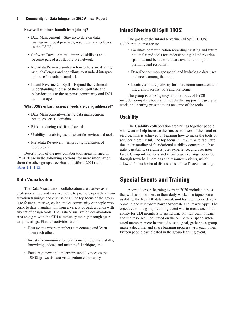## **How will members benefit from joining?**

- Data Management—Stay up to date on data management best practices, resources, and policies in the USGS.
- Software Development—improve skillsets and become part of a collaborative network.
- Metadata Reviewers—learn how others are dealing with challenges and contribute to standard interpretations of metadata standards.
- Inland Riverine Oil Spill—Expand the technical understanding and use of their oil spill fate and behavior tools to the response community and DOI land managers.

## **What USGS or Earth science needs are being addressed?**

- Data Management—sharing data management practices across domains.
- Risk—reducing risk from hazards.
- Usability—enabling useful scientific services and tools.
- Metadata Reviewers—improving FAIRness of USGS data.

Descriptions of the new collaboration areas formed in FY 2020 are in the following sections, for more information about the other groups, see [Hsu and Liford \(2021\)](#page-14-1) and [tables 1.1](#page-15-1)[–1.13.](#page-21-0)

## <span id="page-9-0"></span>**Data Visualization**

The Data Visualization collaboration area serves as a professional hub and creative home to promote open data visualization trainings and discussions. The top focus of the group is to foster a creative, collaborative community of people who come to data visualization from a variety of backgrounds with any set of design tools. The Data Visualization collaboration area engages with the CDI community mainly through quarterly meetings. Planned activities are to:

- Host events where members can connect and learn from each other,
- Invest in communication platforms to help share skills, knowledge, ideas, and meaningful critique, and
- Encourage new and underrepresented voices as the USGS grows its data visualization community.

## <span id="page-9-1"></span>**Inland Riverine Oil Spill (IROS)**

The goals of the Inland Riverine Oil Spill (IROS) collaboration area are to:

- Facilitate communication regarding existing and future national rapid tools for understanding inland riverine spill fate and behavior that are available for spill planning and response.
- Describe common geospatial and hydrologic data uses and needs among the tools.
- Identify a future pathway for more communication and integration across tools and platforms.

The group is cross-agency and the focus of FY20 included compiling tools and models that support the group's work, and hearing presentations on some of the tools.

## <span id="page-9-2"></span>**Usability**

The Usability collaboration area brings together people who want to help increase the success of users of their tool or service. This is achieved by learning how to make the tools or services more useful. The top focus in FY20 was to facilitate the understanding of foundational usability concepts such as utility, usability, usefulness, user experience, and user interfaces. Group interactions and knowledge exchange occurred through town hall meetings and resource reviews, which allowed for both virtual discussions and self-paced learning.

## <span id="page-9-3"></span>**Special Events and Training**

A virtual group-learning event in 2020 included topics that will help members in their daily work. The topics were usability, the NetCDF data format, unit testing in code development, and Microsoft Power Automate and Power Apps. The objective of the group-learning event was to create accountability for CDI members to spend time on their own to learn about a resource. Facilitated on the online wiki space, interested members were instructed to set a goal, gather as a group, make a deadline, and share learning progress with each other. Fifteen people participated in the group learning event.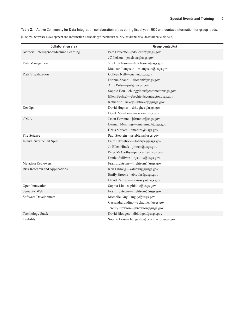<span id="page-10-1"></span>**Table 2.** Active Community for Data Integration collaboration areas during fiscal year 2020 and contact information for group leads.

[DevOps, Software Development and Information Technology Operations; eDNA, environmental deoxyribonucleic acid]

<span id="page-10-0"></span>

| <b>Collaboration area</b>                | Group contact(s)                           |
|------------------------------------------|--------------------------------------------|
| Artificial Intelligence/Machine Learning | Pete Doucette-pdoucette@usgs.gov           |
|                                          | JC Nelson-jcnelson@usgs.gov                |
| Data Management                          | Viv Hutchison-vhutchison@usgs.gov          |
|                                          | Madison Langseth-mlangseth@usgs.gov        |
| Data Visualization                       | Colleen Nell-cnell@usgs.gov                |
|                                          | Dionne Zoanni-dzoanni@usgs.gov             |
|                                          | Amy Puls—apuls@usgs.gov                    |
|                                          | Sophie Hou-chungyihou@contractor.usgs.gov  |
|                                          | Ellen Bechtel-ebechtel@contractor.usgs.gov |
|                                          | Katherine Trickey-ktrickey@usgs.gov        |
| DevOps                                   | David Hughes-drhughes@usgs.gov             |
|                                          | Derek Masaki-dmasaki@usgs.gov              |
| eDNA                                     | Jason Ferrante-jferrante@usgs.gov          |
|                                          | Damian Menning-dmenning@usgs.gov           |
|                                          | Chris Merkes-emerkes@usgs.gov              |
| Fire Science                             | Paul Steblein-psteblein@usgs.gov           |
| Inland Riverine Oil Spill                | Faith Fitzpatrick-fafitzpa@usgs.gov        |
|                                          | Jo Ellen Hinck-jhinck@usgs.gov             |
|                                          | Peter McCarthy---pmccarth@usgs.gov         |
|                                          | Daniel Sullivan-djsulliv@usgs.gov          |
| Metadata Reviewers                       | Fran Lightsom-flightsom@usgs.gov           |
| Risk Research and Applications           | Kris Ludwig-kaludwig@usgs.gov              |
|                                          | Emily Brooks-ebrooks@usgs.gov              |
|                                          | David Ramsey-dramsey@usgs.gov              |
| Open Innovation                          | Sophia Liu-sophialiu@usgs.gov              |
| Semantic Web                             | Fran Lightsom-flightsom@usgs.gov           |
| Software Development                     | Michelle Guy-mguy@usgs.gov                 |
|                                          | Cassandra Ladino-celadino@usgs.gov         |
|                                          | Jeremy Newson-jknewson@usgs.gov            |
| <b>Technology Stack</b>                  | David Blodgett-dblodgett@usgs.gov          |
| Usability                                | Sophie Hou-chungyihou@contractor.usgs.gov  |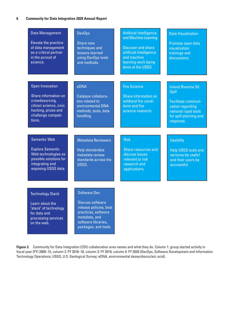<span id="page-11-0"></span>

| <b>Data Management</b><br>Elevate the practice<br>of data management<br>as a critical partner<br>in the pursuit of<br>science.                    | <b>DevOps</b><br>Share new<br>techniques and<br>lessons learned<br>using DevOps tools<br>and methods.                                                           | <b>Artificial Intelligence</b><br>and Machine Learning<br><b>Discover and share</b><br>artificial intelligence<br>and machine<br>learning work being<br>done at the USGS. | <b>Data Visualization</b><br>Promote open data<br>visualization<br>trainings and<br>discussions.                                              |
|---------------------------------------------------------------------------------------------------------------------------------------------------|-----------------------------------------------------------------------------------------------------------------------------------------------------------------|---------------------------------------------------------------------------------------------------------------------------------------------------------------------------|-----------------------------------------------------------------------------------------------------------------------------------------------|
| <b>Open Innovation</b><br>Share information on<br>crowdsourcing,<br>citizen science, civic<br>hacking, prizes and<br>challenge competi-<br>tions. | eDNA<br>Catalyze collabora-<br>tion related to<br>environmental DNA<br>methods, tools, data<br>handling.                                                        | <b>Fire Science</b><br>Share information on<br>wildland fire condi-<br>tions and fire<br>science research.                                                                | <b>Inland Riverine Oil</b><br>Spill<br>Facilitate communi-<br>cation regarding<br>national rapid tools<br>for spill planning and<br>response. |
| <b>Semantic Web</b><br><b>Explore Semantic</b><br>Web technologies as<br>possible solutions for<br>integrating and<br>exposing USGS data.         | <b>Metadata Reviewers</b><br>Help standardize<br>metadata review<br>standards across the<br>USGS.                                                               | <b>Risk</b><br>Share resources and<br>discuss issues<br>relevant to risk<br>research and<br>applications.                                                                 | <b>Usability</b><br><b>Help USGS tools and</b><br>services be useful<br>and their users be<br>successful.                                     |
| <b>Technology Stack</b><br>Learn about the<br>"stack" of technology<br>for data and<br>processing services<br>on the web.                         | <b>Software Dev</b><br><b>Discuss software</b><br>release policies, best<br>practices, software<br>metadata, and<br>software libraries,<br>packages, and tools. |                                                                                                                                                                           |                                                                                                                                               |

<span id="page-11-1"></span>**Figure 3.** Community for Data Integration (CDI) collaboration area names and what they do. Column 1: group started activity in fiscal year (FY) 2009–15, column 2: FY 2016–18, column 3: FY 2019, column 4: FY 2020 (DevOps, Software Development and Information Technology Operations; USGS, U.S. Geological Survey; eDNA, environmental deoxyribonucleic acid).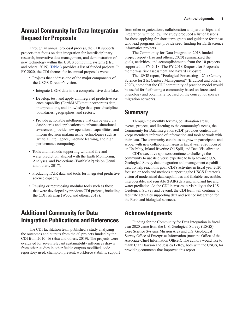## <span id="page-12-0"></span>**Annual Community for Data Integration Request for Proposals**

Through an annual proposal process, the CDI supports projects that focus on data integration for interdisciplinary research, innovative data management, and demonstration of new technology within the USGS computing systems ([Hsu](#page-14-2)  [and others, 2019](#page-14-2)). [Table 3](#page-13-1) provides a list of funded projects. In FY 2020, the CDI themes for its annual proposals were:

- Projects that address one of the major components of the USGS Director's vision.
	- Integrate USGS data into a comprehensive data lake.
	- Develop, test, and apply an integrated predictive science capability (EarthMAP) that incorporates data, interpretations, and knowledge that spans discipline boundaries, geographies, and sectors.
	- Provide actionable intelligence that can be used via dashboards and applications to enhance situational awareness, provide new operational capabilities, and inform decision making using technologies such as artificial intelligence, machine learning, and high performance computing.
- Tools and methods supporting wildland fire and water prediction, aligned with the Earth Monitoring, Analyses, and Projections (EarthMAP) vision ([Jenni](#page-14-3)  [and others, 2017](#page-14-3)).
- Producing FAIR data and tools for integrated predictive science capacity.
- Reusing or repurposing modular tools such as those that were developed by previous CDI projects, including the CDI risk map ([Wood and others, 2018\)](#page-14-4).

## <span id="page-12-1"></span>**Additional Community for Data Integration Publications and References**

The CDI facilitation team published a study analyzing the outcomes and outputs from the 60 projects funded by the CDI from 2010–16 [\(Hsu and others, 2019](#page-14-2)). The projects were evaluated for seven relevant sustainability influences drawn from other studies in other fields: outputs modified, code repository used, champion present, workforce stability, support from other organizations, collaboration and partnerships, and integration with policy. The study produced a list of lessons for those applying for short term grants and guidance for those who lead programs that provide seed-funding for Earth science informatics projects.

The Community for Data Integration 2018 funded project report ([Hsu and others, 2020\)](#page-14-5) summarized the goals, activities, and accomplishments from the 10 projects supported in FY 2018. The FY 2018 Request for Proposals theme was risk assessment and hazard exposure.

The USGS report, "Ecological Forecasting—21st Century Science for 21st Century Management" [\(Bradford and others,](#page-14-6)  [2020](#page-14-6)), noted that the CDI community of practice model would be useful for facilitating a community based on forecasted phenology and potentially focused on the concept of species migration networks.

## <span id="page-12-2"></span>**Summary**

Through the monthly forums, collaboration areas, events, projects, and listening to the community's needs, the Community for Data Integration (CDI) provides content that keeps members informed of information and tools to work with their data. The community continues to grow in participants and scope, with new collaboration areas in fiscal year 2020 focused on Usability, Inland Riverine Oil Spill, and Data Visualization.

CDI's executive sponsors continue to challenge the community to use its diverse expertise to help advance U.S. Geological Survey data integration and management capabilities. To help reach this goal, CDI's activities in fiscal year 2020 focused on tools and methods supporting the USGS Director's vision of modernized data capabilities and findable, accessible, interoperable, and reusable (FAIR) data and wildland fire and water prediction. As the CDI increases its visibility at the U.S. Geological Survey and beyond, the CDI team will continue to facilitate activities supporting data and science integration for the Earth and biological sciences.

## <span id="page-12-3"></span>**Acknowledgments**

Funding for the Community for Data Integration in fiscal year 2020 came from the U.S. Geological Survey (USGS) Core Science Systems Mission Area and U.S. Geological Survey Office of Enterprise Information (now the Office of the Associate Chief Information Officer). The authors would like to thank Cian Dawson and Jessica LeRoy, both with the USGS, for providing comments that improved this report.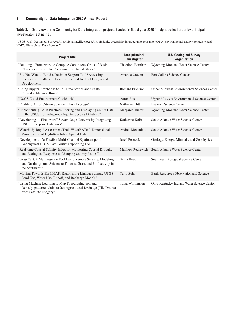<span id="page-13-1"></span><span id="page-13-0"></span>**Table 3.** Overview of the Community for Data Integration projects funded in fiscal year 2020 (in alphabetical order by principal investigator last name).

[USGS, U.S. Geological Survey; AI, artificial intelligence; FAIR, findable, accessible, interoperable, reusable; eDNA, environmental deoxyribonucleic acid; HDF5, Hierarchical Data Format 5]

| <b>Project title</b>                                                                                                                                 | <b>Lead principal</b><br>investigator | <b>U.S. Geological Survey</b><br>organization      |
|------------------------------------------------------------------------------------------------------------------------------------------------------|---------------------------------------|----------------------------------------------------|
| "Building a Framework to Compute Continuous Grids of Basin<br>Characteristics for the Conterminous United States"                                    | Theodore Barnhart                     | Wyoming-Montana Water Science Center               |
| "So, You Want to Build a Decision Support Tool? Assessing<br>Successes, Pitfalls, and Lessons Learned for Tool Design and<br>Development"            | Amanda Cravens                        | Fort Collins Science Center                        |
| "Using Jupyter Notebooks to Tell Data Stories and Create<br>Reproducible Workflows"                                                                  | <b>Richard Erickson</b>               | <b>Upper Midwest Environmental Sciences Center</b> |
| "USGS Cloud Environment Cookbook"                                                                                                                    | Aaron Fox                             | Upper Midwest Environmental Science Center         |
| "Enabling AI for Citizen Science in Fish Ecology"                                                                                                    | Nathaniel Hitt                        | Leetown Science Center                             |
| "Implementing FAIR Practices: Storing and Displaying eDNA Data<br>in the USGS Nonindigenous Aquatic Species Database"                                | Margaret Hunter                       | Wyoming-Montana Water Science Center               |
| "Developing a "Fire-aware" Stream Gage Network by Integrating<br>USGS Enterprise Databases"                                                          | Katharine Kolb                        | South Atlantic Water Science Center                |
| "Waterbody Rapid Assessment Tool (WaterRAT): 3-Dimensional<br>Visualization of High-Resolution Spatial Data"                                         | Andrea Medenblik                      | South Atlantic Water Science Center                |
| "Development of a Flexible Multi-Channel Spatiotemporal<br>Geophysical HDF5 Data Format Supporting FAIR"                                             | Jared Peacock                         | Geology, Energy, Minerals, and Geophysics          |
| "Real-time Coastal Salinity Index for Monitoring Coastal Drought<br>and Ecological Response to Changing Salinity Values"                             | Matthew Petkewich                     | South Atlantic Water Science Center                |
| "GrassCast: A Multi-agency Tool Using Remote Sensing, Modeling,<br>and On-the-ground Science to Forecast Grassland Productivity in<br>the Southwest" | Sasha Reed                            | Southwest Biological Science Center                |
| "Moving Towards EarthMAP: Establishing Linkages among USGS<br>Land Use, Water Use, Runoff, and Recharge Models"                                      | Terry Sohl                            | Earth Resources Observation and Science            |
| "Using Machine Learning to Map Topographic-soil and<br>Densely-patterned Sub-surface Agricultural Drainage (Tile Drains)<br>from Satellite Imagery"  | Tanja Williamson                      | Ohio-Kentucky-Indiana Water Science Center         |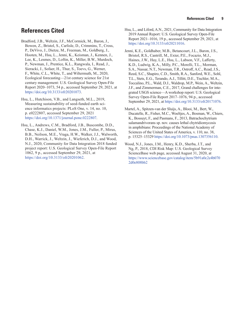## <span id="page-14-0"></span>**References Cited**

- <span id="page-14-6"></span>Bradford, J.B., Weltzin, J.F., McCormick, M., Baron, J., Bowen, Z., Bristol, S., Carlisle, D., Crimmins, T., Cross, P., DeVivo, J., Dietze, M., Freeman, M., Goldberg, J., Hooten, M., Hsu, L., Jenni, K., Keisman, J., Kennen, J., Lee, K., Lesmes, D., Loftin, K., Miller, B.W., Murdoch, P., Newman, J., Prentice, K.L., Rangwala, I., Read, J., Sieracki, J., Sofaer, H., Thur, S., Toevs, G., Werner, F., White, C.L., White, T., and Wiltermuth, M., 2020, Ecological forecasting—21st century science for 21st century management: U.S. Geological Survey Open-File Report 2020–1073, 54 p., accessed September 29, 2021, at <https://doi.org/10.3133/ofr20201073>.
- <span id="page-14-2"></span>Hsu, L., Hutchison, V.B., and Langseth, M.L., 2019, Measuring sustainability of seed-funded earth science informatics projects: PLoS One, v. 14, no. 10, p. e0222807, accessed September 29, 2021 <https://doi.org/10.1371/journal.pone.0222807>.
- <span id="page-14-5"></span>Hsu, L., Andrews, C.M., Bradford, J.B., Buscombe, D.D., Chase, K.J., Daniel, W.M., Jones, J.M., Fuller, P., Mirus, B.B., Neilson, M.E., Vraga, H.W., Walker, J.J., Walworth, D.H., Warrick, J., Weltzin, J., Wieferich, D.J., and Wood, N.J., 2020, Community for Data Integration 2018 funded project report: U.S. Geological Survey Open-File Report 1062, 9 p., accessed September 29, 2021, at <https://doi.org/10.3133/ofr20201062>.
- <span id="page-14-1"></span>Hsu, L., and Liford, A.N., 2021, Community for Data Integration 2019 Annual Report: U.S. Geological Survey Open-File Report 2021–1016, 19 p., accessed September 29, 2021, at <https://doi.org/10.3133/ofr20211016>.
- <span id="page-14-3"></span>Jenni, K.E., Goldhaber, M.B., Betancourt, J.L., Baron, J.S., Bristol, R.S., Cantrill, M., Exter, P.E., Focazio, M.J., Haines, J.W., Hay, L.E., Hsu, L., Labson, V.F., Lafferty, K.D., Ludwig, K.A., Milly, P.C., Morelli, T.L., Morman, S.A., Nassar, N.T., Newman, T.R., Ostroff, A.C., Read, J.S., Reed, S.C., Shapiro, C.D., Smith, R.A., Sanford, W.E., Sohl, T.L., Stets, E.G., Terando, A.J., Tillitt, D.E., Tischler, M.A., Toccalino, P.L., Wald, D.J., Waldrop, M.P., Wein, A., Weltzin, J.F., and Zimmerman, C.E., 2017, Grand challenges for integrated USGS science—A workshop report: U.S. Geological Survey Open-File Report 2017–1076, 94 p., accessed September 29, 2021, at <https://doi.org/10.3133/ofr20171076>.
- <span id="page-14-7"></span>Martel, A., Spitzen-van der Sluijs, A., Blooi, M., Bert, W., Ducatelle, R., Fisher, M.C., Woeltjes, A., Bosman, W., Chiers, K., Bossuyt, F., and Pasmans, F., 2013, Batrachochytrium salamandrivorans sp. nov. causes lethal chytridiomycosis in amphibians: Proceedings of the National Academy of Sciences of the United States of America, v. 110, no. 38, p. 15325–15329 <https://doi.org/10.1073/pnas.1307356110>.
- <span id="page-14-4"></span>Wood, N.J., Jones, J.M., Henry, K.D., Sherba, J.T., and Ng, P., 2018, CDI Risk Map: U.S. Geological Survey ScienceBase web page, accessed August 31, 2020, at [https://www.sciencebase.gov/catalog/item/5b91a0c2e4b070](https://www.sciencebase.gov/catalog/item/5b91a0c2e4b0702d0e808bb2) [2d0e808bb2](https://www.sciencebase.gov/catalog/item/5b91a0c2e4b0702d0e808bb2)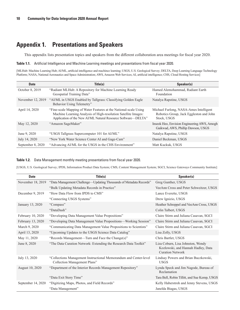## <span id="page-15-0"></span>**Appendix 1. Presentations and Speakers**

This appendix lists presentation topics and speakers from the different collaboration area meetings for fiscal year 2020.

<span id="page-15-1"></span>**Table 1.1.** Artificial Intelligence and Machine Learning meetings and presentations from fiscal year 2020.

[MLHub: Machine Learning Hub; AI/ML, artificial intelligence and machince learning; USGS, U.S. Geological Survey; DELTA, Deep Learning Language Technology Platform; NASA, National Aeronautics and Space Administration; AWS, Amazon Web Services; AI, artificial intelligence; CHS, Cloud Hosting Services]

| <b>Date</b>       | Title(s)                                                                                                                                                                                             | Speaker(s)                                                                                       |
|-------------------|------------------------------------------------------------------------------------------------------------------------------------------------------------------------------------------------------|--------------------------------------------------------------------------------------------------|
| October 8, 2019   | "Radiant MLHub: A Repository for Machine Learning Ready<br>Geospatial Training Data"                                                                                                                 | Hamed Alemohammad, Radiant Earth<br>Foundation                                                   |
| November 12, 2019 | "AI/ML in USGS Enabled by Tallgrass: Classifying Golden Eagle<br>Behavior Using Telemetry"                                                                                                           | Natalya Rapstine, USGS                                                                           |
| April 14, 2020    | "Fine-scale Mapping of Water Features at the National-scale Using<br>Machine Learning Analysis of High-resolution Satellite Images:<br>Application of the New AI/ML Natural Resource Software—DELTA" | Michael Furlong, NASA-Ames Intelligent<br>Robotics Group, Jack Eggleston and John<br>Stock, USGS |
| May 12, 2020      | "Amazon SageMaker"                                                                                                                                                                                   | Inseok Heo, Envision Engineering AWS, Amogh<br>Gaikwad, AWS, Phillip Dawson, USGS                |
| June 9, 2020      | "USGS Tallgrass Supercomputer 101 for AI/ML"                                                                                                                                                         | Natalya Rapstine, USGS                                                                           |
| July 14, 2020     | "New York Water Science Center AI and Gage-Cam"                                                                                                                                                      | Daniel Beckman, USGS                                                                             |
| September 8, 2020 | "Advancing AI/ML for the USGS in the CHS Environment"                                                                                                                                                | Matt Kuckuk, USGS                                                                                |

**Table 1.2.** Data Management monthly meeting presentations from fiscal year 2020.

[USGS, U.S. Geological Survey; IPDS, Information Product Data System; CMS, Content Management System; SGCI, Science Gateways Community Institute]

| <b>Date</b>        | Title(s)                                                                                          | Speaker(s)                                                                                         |
|--------------------|---------------------------------------------------------------------------------------------------|----------------------------------------------------------------------------------------------------|
| November 18, 2019  | "Data Management Challenge-Updating Thousands of Metadata Records"                                | Greg Gunther, USGS                                                                                 |
|                    | "Bulk Updating Metadata Records in Practice"                                                      | VeeAnn Cross and Peter Schweitzer, USGS                                                            |
| December 9, 2019   | "How Data Flow from IPDS to CMS"                                                                  | Lance Everette, USGS                                                                               |
|                    | "Connecting USGS Systems"                                                                         | Drew Ignizio, USGS                                                                                 |
| January 13, 2020   | "Compass"                                                                                         | Heather Schreppel and VeeAnn Cross, USGS                                                           |
|                    | "DataDash"                                                                                        | Colin Talbert, USGS                                                                                |
| February 10, 2020  | "Developing Data Management Value Propositions"                                                   | Claire Stirm and Juliana Casavan, SGCI                                                             |
| February 13, 2020  | "Developing Data Management Value Propositions-Working Session"                                   | Claire Stirm and Juliana Casavan, SGCI                                                             |
| March 9, 2020      | "Communicating Data Management Value Propositions to Scientists"                                  | Claire Stirm and Juliana Casavan, SGCI                                                             |
| April 13, 2020     | "Upcoming Updates to the USGS Science Data Catalog"                                               | Lisa Zolly, USGS                                                                                   |
| May 11, 2020       | "Records Management—Turn and Face the Change(s)"                                                  | Chris Bartlet, USGS                                                                                |
| June 8, 2020       | "The Data Curation Network: Extending the Research Data Toolkit"                                  | Liza Coburn, Lisa Johnston, Wendy<br>Kozlowski, and Hannah Hadley, Data<br><b>Curation Network</b> |
| July 13, 2020      | "Collections Management Instructional Memorandum and Center-level<br>Collection Management Plans" | Lindsay Powers and Brian Buczkowski,<br><b>USGS</b>                                                |
| August 10, 2020    | "Department of the Interior Records Management Repository"                                        | Lynda Speck and Jim Nagode, Bureau of<br>Reclamation                                               |
|                    | "Data Exit Story Time"                                                                            | Tara Bell, Robin Tillitt, and Sue Kemp, USGS                                                       |
| September 14, 2020 | "Digitizing Maps, Photos, and Field Records"                                                      | Kelly Haberstroh and Jenny Stevens, USGS                                                           |
|                    | "Data Management"                                                                                 | Janelda Biagas, USGS                                                                               |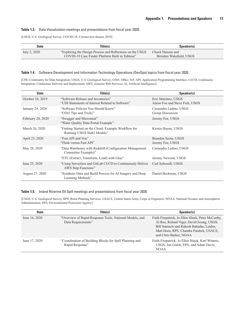#### **Table 1.3.** Data Visualization meetings and presentations from fiscal year 2020.

[USGS, U.S. Geological Survey; COVID-19, Coronavirus disease 2019]

| <b>Date</b>  | Title(s)                                                   | Speaker(s)              |
|--------------|------------------------------------------------------------|-------------------------|
| July 2, 2020 | "Exploring the Design Process and Reflections on the USGS" | Chuck Hansen and        |
|              | COVID-19 Case Finder Platform Built in Tableau"            | Brendan Wakefield, USGS |

#### **Table 1.4.** Software Development and Information Technology Operations (DevOps) topics from fiscal year 2020.

[CDI, Community for Data Integration; USGS, U.S. Geological Survey; O365, Office 365; API, Application Programming Interface; CI/CD, Continuous Integration/ Continuous Delivery and Deployment; AWS, Amazon Web Services; AI, Artificial Intelligence]

| <b>Date</b>       | Title(s)                                                                               | Speaker(s)                                            |
|-------------------|----------------------------------------------------------------------------------------|-------------------------------------------------------|
| October 24, 2019  | "Software Release and Inventories"<br>"CDI Statements of Interest Related to Software" | Eric Martinez, USGS<br>Aaron Fox and Steve Fick, USGS |
| January 24, 2020  | "Software Policies You Should Know"<br>"O365 Tips and Tricks"                          | Cassandra Ladino, USGS<br>Group Discussion            |
| February 28, 2020 | "Swagger and Micronaut"<br>"Water Quality Data Portal Example"                         | Jeremy Fee, USGS                                      |
| March 26, 2020    | "Getting Started on the Cloud: Example Workflow for<br>Running USGS Slab2 Models"      | Kirstie Hayne, USGS                                   |
| April 23, 2020    | "Fast API and You"<br>"Flask versus Fast API"                                          | Brandon Serna, USGS<br>Jeremy Fee, USGS               |
| May 28, 2020      | "Data Warehouse with Redshift (Configuration Management)"<br>Committee Example)"       | Cassandra Ladino, USGS                                |
|                   | "ETL (Extract, Transform, Load) with Glue"                                             | Jeremy Newson, USGS                                   |
| June 25, 2020     | "Using Serverless and GitLab CI/CD to Continuously Deliver<br>AWS Step Functions"      | Carl Schroedl, USGS                                   |
| August 27, 2020   | "Synthetic Data and Build Process for AI Imagery and Deep<br>Learning Methods"         | Daniel Beckman, USGS                                  |

#### **Table 1.5.** Inland Riverine Oil Spill meetings and presentations from fiscal year 2020.

[USGS, U.S. Geological Survey; RPS, Rural Planning Services; USACE, United States Army Corps of Engineers; NOAA, National Oceanic and Atmospheric Administration; EPA, Environmental Protection Agency]

| <b>Date</b>   | Title(s)                                                                      | Speaker(s)                                                                                                                                                                                                      |
|---------------|-------------------------------------------------------------------------------|-----------------------------------------------------------------------------------------------------------------------------------------------------------------------------------------------------------------|
| June 16, 2020 | "Overview of Rapid Response Tools, National Models, and<br>Data Requirements" | Faith Fitzpatrick, Jo Ellen Hinck, Peter McCarthy,<br>Al Rea, Roland Viger, David Soong, USGS,<br>Bill Samuels and Rakesh Bahadur, Leidos,<br>Matt Horn, RPS, Chandra Patahck, USACE,<br>and Chris Barker, NOAA |
| June 17, 2020 | "Coordination of Building Blocks for Spill Planning and<br>Rapid Response"    | Faith Fitzpatrick, Jo Ellen Hinck, Karl Winters,<br>USGS, Jon Gulch, EPA, and Adam Davis,<br><b>NOAA</b>                                                                                                        |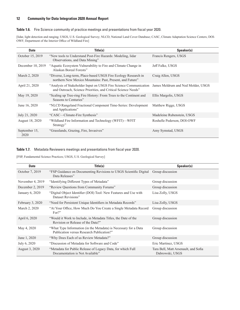#### **Table 1.6.** Fire Science community of practice meetings and presentations from fiscal year 2020.

[lidar, light detection and ranging; USGS, U.S. Geological Survey; NLCD, National Land Cover Database; CASC, Climate Adaptation Science Centers; DOI-OWF; Department of the Interior Office of Wildland Fire]

| <b>Date</b>           | Title(s)                                                                                                                                                              | Speaker(s)                 |
|-----------------------|-----------------------------------------------------------------------------------------------------------------------------------------------------------------------|----------------------------|
| October 15, 2019      | "New tools to Understand Post-Fire Hazards: Modeling, lidar<br>Observations, and Data Mining"                                                                         | Francis Rengers, USGS      |
| December 10, 2019     | "Aquatic Ecosystem Vulnerability to Fire and Climate Change in<br>Alaskan Boreal Forests"                                                                             | Jeff Falke, USGS           |
| March 2, 2020         | "Diverse, Long-term, Place-based USGS Fire Ecology Research in<br>northern New Mexico Mountains: Past, Present, and Future"                                           | Craig Allen, USGS          |
| April 21, 2020        | "Analysis of Stakeholder Input on USGS Fire Science Communication James Meldrum and Ned Molder, USGS<br>and Outreach, Science Priorities, and Critical Science Needs" |                            |
| May 19, 2020          | "Scaling up Tree-ring Fire History: From Trees to the Continent and<br>Seasons to Centuries"                                                                          | Ellis Margolis, USGS       |
| June 16, 2020         | "NLCD Rangeland Fractional Component Time-Series: Development<br>and Applications"                                                                                    | Matthew Rigge, USGS        |
| July 21, 2020         | "CASC—Climate-Fire Synthesis"                                                                                                                                         | Madeleine Rubenstein, USGS |
| August 18, 2020       | "Wildland Fire Information and Technology (WFIT)—WFIT<br>Strategy"                                                                                                    | Roshelle Pederson, DOI-OWF |
| September 15,<br>2020 | "Grasslands, Grazing, Fire, Invasives"                                                                                                                                | Amy Symstad, USGS          |

#### **Table 1.7.** Metadata Reviewers meetings and presentations from fiscal year 2020.

[FSP, Fundamental Science Practices; USGS, U.S. Geological Survey]

| <b>Date</b>      | Title(s)                                                                                                      | Speaker(s)                                              |
|------------------|---------------------------------------------------------------------------------------------------------------|---------------------------------------------------------|
| October 7, 2019  | "FSP Guidance on Documenting Revisions to USGS Scientific Digital<br>Data Releases"                           | Group discussion                                        |
| November 4, 2019 | "Identifying Different Types of Metadata"                                                                     | Group discussion                                        |
| December 2, 2019 | "Review Questions from Community Forums"                                                                      | Group discussion                                        |
| January 6, 2020  | "Digital Object Identifier (DOI) Tool: New Features and Use with<br>Dataset Revisions"                        | Lisa Zolly, USGS                                        |
| February 3, 2020 | "Need for Persistent Unique Identifiers in Metadata Records"                                                  | Lisa Zolly, USGS                                        |
| March 2, 2020    | "At Your Office, How Much Do You Create a Single Metadata Record<br>For?                                      | Group discussion                                        |
| April 6, 2020    | "Would it Work to Include, in Metadata Titles, the Date of the<br>Revision or Release of the Data?"           | Group discussion                                        |
| May 4, 2020      | "What Type Information (in the Metadata) is Necessary for a Data<br>Publication versus Research Publication?" | Group discussion                                        |
| June 1, 2020     | "Why Does Each of us Review Metadata?"                                                                        | Group discussion                                        |
| July 6, 2020     | "Discussion of Metadata for Software and Code"                                                                | Eric Martinez, USGS                                     |
| August 3, 2020   | "Metadata for Public Release of Legacy Data, for which Full<br>Documentation is Not Available"                | Tara Bell, Matt Arsenault, and Sofia<br>Dabrowski, USGS |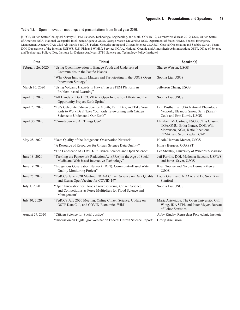#### **Table 1.8.** Open Innovation meetings and presentations from fiscal year 2020.

[USGS, United States Geological Survey; STEM, Science, Technology, Engineering, and Math; COVID-19, Coronavirus disease 2019; USA, United States of America; NGA, National Geospatial Intelligence Agency; GMU, George Mason University; DOS, Department of State; FEMA, Federal Emergency Management Agency; CAP, Civil Air Patrol; FedCCS, Federal Crowdsourcing and Citizen Science; COASST, Coastal Observation and Seabird Survey Team; DOI, Department of the Interior; USFWS, U.S. Fish and Wildlife Service; NOAA, National Oceanic and Atmospheric Administration; OSTP, Office of Science and Technology Policy; IDA, Institute for Defense Analyses; STPI, Science and Technology Policy Institute]

| <b>Date</b>       | Title(s)                                                                                                                                                          | Speaker(s)                                                                                                                                     |
|-------------------|-------------------------------------------------------------------------------------------------------------------------------------------------------------------|------------------------------------------------------------------------------------------------------------------------------------------------|
| February 26, 2020 | "Using Open Innovation to Engage Youth and Underserved<br>Communities in the Pacific Islands"                                                                     | Sheree Watson, USGS                                                                                                                            |
|                   | "Why Open Innovation Matters and Participating in the USGS Open<br>Innovation Strategy"                                                                           | Sophia Liu, USGS                                                                                                                               |
| March 16, 2020    | "Using Volcanic Hazards in Hawai'i as a STEM Platform in<br>Problem-based Learning"                                                                               | Jefferson Chang, USGS                                                                                                                          |
| April 17, 2020    | "All Hands on Deck: COVID-19 Open Innovation Efforts and the<br>Opportunity Project Earth Sprint"                                                                 | Sophia Liu, USGS                                                                                                                               |
| April 23, 2020    | "Let's Celebrate Citizen Science Month, Earth Day, and Take Your<br>Kids to Work Day! Take Your Kids Teleworking with Citizen<br>Science to Understand Our Earth" | Erin Posthumus, USA National Phenology<br>Network, Eleanour Snow, Sally (Sarah)<br>Cook and Erin Korris, USGS                                  |
| April 30, 2020    | "Crowdsourcing All Things Geo"                                                                                                                                    | Elizabeth McCartney, USGS, Chris Clasen,<br>NGA/GMU, Erika Nunez, DOS, Will<br>Mortenson, NGA, Katie Picchione,<br>FEMA, and Scott Kaplan, CAP |
| May 28, 2020      | "Data Quality of the Indigenous Observation Network"                                                                                                              | Nicole Herman-Mercer, USGS                                                                                                                     |
|                   | "A Resource of Resources for Citizen Science Data Quality"                                                                                                        | Hilary Burgess, COASST                                                                                                                         |
|                   | "The Landscape of COVID-19 Citizen Science and Open Science"                                                                                                      | Lea Shanley, University of Wisconsin-Madison                                                                                                   |
| June 18, 2020     | "Tackling the Paperwork Reduction Act (PRA) in the Age of Social<br>Media and Web-based Interactive Technology"                                                   | Jeff Parrillo, DOI, Madonna Baucum, USFWS,<br>and James Sayer, USGS                                                                            |
| June 19, 2020     | "Indigenous Observation Network (ION): Community-Based Water<br>Quality Monitoring Project"                                                                       | Ryan Toohey and Nicole Herman-Mercer,<br><b>USGS</b>                                                                                           |
| June 25, 2020     | "FedCCS June 2020 Meeting: NOAA Citizen Science on Data Quality<br>and Eterna OpenVaccine for COVID-19"                                                           | Laura Oremland, NOAA, and Do Soon Kim,<br>Stanford                                                                                             |
| July 1, 2020      | "Open Innovation for Floods Crowdsourcing, Citizen Science,<br>and Competitions as Force Multipliers for Flood Science and<br>Management"                         | Sophia Liu, USGS                                                                                                                               |
| July 30, 2020     | "FedCCS July 2020 Meeting: Online Citizen Science, Update on<br>OSTP Data Call, and COVID-Economics Wiki"                                                         | Maria Aristeidou, The Open University, Giff<br>Wong, IDA STPI, and Peter Meyer, Bureau<br>of Labor Statistics                                  |
| August 27, 2020   | "Citizen Science for Social Justice"                                                                                                                              | Abby Kinchy, Rensselaer Polytechnic Institute                                                                                                  |
|                   | "Discussion on Digital.gov Webinar on Federal Citizen Science Report"                                                                                             | Group discussion                                                                                                                               |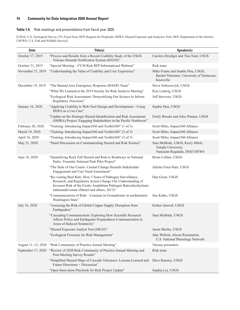#### **Table 1.9.** Risk meetings and presentations from fiscal year 2020.

[USGS, U.S. Geological Survey; FY, Fiscal Year; RFP, Request for Proposals, HERA; Hazard Exposure and Analytics Tool; DOI, Department of the Interior; USFWS, U.S. Fish and Wildlife Service]

| <b>Date</b>        | Title(s)                                                                                                                                                                                                                                       | Speaker(s)                                                                                  |
|--------------------|------------------------------------------------------------------------------------------------------------------------------------------------------------------------------------------------------------------------------------------------|---------------------------------------------------------------------------------------------|
| October 17, 2019   | "Process and Results from a Recent Usability Study of the USGS<br>Volcano Hazards Notification System (HANS)"                                                                                                                                  | Carolyn Driedger and Tina Neal, USGS                                                        |
| October 31, 2019   | "Special Meeting-FY20 Risk RFP Informational Webinar"                                                                                                                                                                                          | Risk team                                                                                   |
| November 21, 2019  | "Understanding the Value of Usability and User Experience"                                                                                                                                                                                     | Mike Frame and Sophie Hou, USGS,<br>Rachel Volentine, University of Tennessee,<br>Knoxville |
| December 19, 2019  | "The Burned Area Emergency Response (BAER) Team"                                                                                                                                                                                               | Steve Sobieszczyk, USGS                                                                     |
|                    | "What We Learned at the 2019 Society for Risk Analysis Meeting"                                                                                                                                                                                | Kris Ludwig, USGS                                                                           |
|                    | "Ecological Risk Assessment: Demystifying Our Science to Inform<br>Regulatory Decisions"                                                                                                                                                       | Jeff Steevens, USGS                                                                         |
| January 16, 2020   | "Applying Usability to Web-Tool Design and Development-Using<br>HERA as a Use Case"                                                                                                                                                            | Sophie Hou, USGS                                                                            |
|                    | "Update on the Strategic Hazard Identification and Risk Assessment<br>(SHIRA) Project: Engaging Stakeholders in the Pacific Northwest"                                                                                                         | Emily Brooks and Alice Pennaz, USGS                                                         |
| February 20, 2020  | "Training: Introducing Impact360 and Toolkit360" (1 of 3)                                                                                                                                                                                      | Scott Miles, Impact360 Alliance                                                             |
| March 19, 2020     | "Training: Introducing Impact360 and Toolkit360" (2 of 3)                                                                                                                                                                                      | Scott Miles, Impact360 Alliance                                                             |
| April 16, 2020     | "Training: Introducing Impact360 and Toolkit360" (3 of 3)                                                                                                                                                                                      | Scott Miles, Impact360 Alliance                                                             |
| May 21, 2020       | "Panel Discussion on Communicating Hazard and Risk Science"                                                                                                                                                                                    | Sara McBride, USGS, Kerry Milch,<br>Temple University,<br>Nanciann Regalado, DOI/USFWS      |
| June 18, 2020      | "Quantifying Rock Fall Hazard and Risk to Roadways in National<br>Parks: Yosemite National Park Pilot Project"                                                                                                                                 | Brian Collins, USGS                                                                         |
|                    | "The State of Our Coasts: Coastal Change Hazards Stakeholder<br>Engagement and User Need Assessment"                                                                                                                                           | Juliette Finzi-Hart, USGS                                                                   |
|                    | "Re-visiting Bsal Risk: How 3 Years of Pathogen Surveillance,<br>Research, and Regulatory Action Change Our Understanding of<br>Invasion Risk of the Exotic Amphibian Pathogen Batrochochytrium<br>salamandrivorans (Martel and others, 2013)" | Dan Grear, USGS                                                                             |
|                    | "Communications of Risk—Uranium in Groundwater in northeastern<br>Washington State"                                                                                                                                                            | Sue Kahle, USGS                                                                             |
| July 16, 2020      | "Assessing the Risk of Global Copper Supply Disruption from<br>Earthquakes"                                                                                                                                                                    | Kishor Jaiswal, USGS                                                                        |
|                    | "Cascading Communication: Exploring How Scientific Research<br>Affects Policy and Earthquake Preparedness Communication in<br>Areas of Induced Seismicity"                                                                                     | Sara McBride, USGS                                                                          |
|                    | "Hazard Exposure Analyst Tool (HEAT)"                                                                                                                                                                                                          | Jason Sherba, USGS                                                                          |
|                    | "Ecological Forecasts for Risk Management"                                                                                                                                                                                                     | Jake Weltzin, Alyssa Rosemartin,<br>U.S. National Phenology Network                         |
| August 11-13, 2020 | "Risk Community of Practice Annual Meeting"                                                                                                                                                                                                    | Various presenters                                                                          |
| September 17, 2020 | "Review of 2020 Risk Community of Practice Annual Meeting and<br>Post-Meeting Survey Results"                                                                                                                                                  | Risk team                                                                                   |
|                    | "Simplified Hazard Maps of Cascade Volcanoes: Lessons Learned and<br>Future Directions + Discussion"                                                                                                                                           | Dave Ramsey, USGS                                                                           |
|                    | "Open Innovation Playbook for Risk Project Update"                                                                                                                                                                                             | Sophia Liu, USGS                                                                            |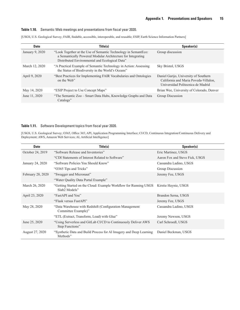#### **Table 1.10.** Semantic Web meetings and presentations from fiscal year 2020.

[USGS, U.S. Geological Survey; FAIR, findable, accessible, interoperable, and reusable; ESIP, Earth Science Information Partners]

| <b>Date</b>     | Title(s)                                                                                                                                                                        | Speaker(s)                                                                                                          |
|-----------------|---------------------------------------------------------------------------------------------------------------------------------------------------------------------------------|---------------------------------------------------------------------------------------------------------------------|
| January 9, 2020 | "Look Together at the Use of Semantic Technology in SemantEco:<br>a Semantically Powered Modular Architecture for Integrating<br>Distributed Environmental and Ecological Data" | Group discussion                                                                                                    |
| March 12, 2020  | "A Practical Example of Semantic Technology in Action: Assessing<br>the Status of Biodiversity in the World's Oceans"                                                           | Sky Bristol, USGS                                                                                                   |
| April 9, 2020   | "Best Practices for Implementing FAIR Vocabularies and Ontologies<br>on the Web"                                                                                                | Daniel Garijo, University of Southern<br>California and Maria Poveda-Villalon,<br>Universidad Politecnica de Madrid |
| May 14, 2020    | "ESIP Project to Use Concept Maps"                                                                                                                                              | Brian Wee, University of Colorado, Denver                                                                           |
| June 11, 2020   | "The Semantic Zoo – Smart Data Hubs, Knowledge Graphs and Data<br>Catalogs"                                                                                                     | Group Discussion                                                                                                    |

#### **Table 1.11.** Software Development topics from fiscal year 2020.

[USGS, U.S. Geological Survey; O365, Office 365; API, Application Programming Interface; CI/CD, Continuous Integration/Continuous Delivery and Deployment; AWS, Amazon Web Services; AI, Artificial Intelligence]

| <b>Date</b>       | Title(s)                                                                          | Speaker(s)                     |
|-------------------|-----------------------------------------------------------------------------------|--------------------------------|
| October 24, 2019  | "Software Release and Inventories"                                                | Eric Martinez, USGS            |
|                   | "CDI Statements of Interest Related to Software"                                  | Aaron Fox and Steve Fick, USGS |
| January 24, 2020  | "Software Policies You Should Know"                                               | Cassandra Ladino, USGS         |
|                   | "O365 Tips and Tricks"                                                            | Group Discussion               |
| February 28, 2020 | "Swagger and Micronaut"                                                           | Jeremy Fee, USGS               |
|                   | "Water Quality Data Portal Example"                                               |                                |
| March 26, 2020    | "Getting Started on the Cloud: Example Workflow for Running USGS<br>Slab2 Models" | Kirstie Haynie, USGS           |
| April 23, 2020    | "FastAPI and You"                                                                 | Brandon Serna, USGS            |
|                   | "Flask versus FastAPI"                                                            | Jeremy Fee, USGS               |
| May 28, 2020      | "Data Warehouse with Redshift (Configuration Management)"<br>Committee Example)"  | Cassandra Ladino, USGS         |
|                   | "ETL (Extract, Transform, Load) with Glue"                                        | Jeremy Newson, USGS            |
| June 25, 2020     | "Using Serverless and GitLab CI/CD to Continuously Deliver AWS<br>Step Functions" | Carl Schroedl, USGS            |
| August 27, 2020   | "Synthetic Data and Build Process for AI Imagery and Deep Learning<br>Methods"    | Daniel Beckman, USGS           |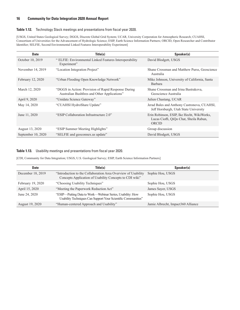#### **Table 1.12.** Technology Stack meetings and presentations from fiscal year 2020.

[USGS, United States Geological Survey; DGGS, Discrete Global Grid System; UCAR, University Corporation for Atmospheric Research; CUAHSI, Consortium of Universities for the Advancement of Hydrologic Science; ESIP, Earth Science Information Partners; ORCID, Open Researcher and Contributor Identifier; SELFIE, Second Environmental Linked Features Interoperability Experiment]

| <b>Date</b>        | Title(s)                                                                                            | Speaker(s)                                                                                    |
|--------------------|-----------------------------------------------------------------------------------------------------|-----------------------------------------------------------------------------------------------|
| October 10, 2019   | "ELFIE: Environmental Linked Features Interoperability<br>Experiment"                               | David Blodgett, USGS                                                                          |
| November 14, 2019  | "Location Integration Project"                                                                      | Shane Crossman and Matthew Purss, Geoscience<br>Australia                                     |
| February 12, 2020  | "Urban Flooding Open Knowledge Network"                                                             | Mike Johnson, University of California, Santa<br>Barbara                                      |
| March 12, 2020     | "DGGS in Action: Provision of Rapid Response During<br>Australian Bushfires and Other Applications" | Shane Crossman and Irina Bastrakova,<br>Geoscience Australia                                  |
| April 9, 2020      | "Unidata Science Gateway"                                                                           | Julien Chastang, UCAR                                                                         |
| May 14, 2020       | "CUAHSI HydroShare Update"                                                                          | Jerad Bales and Anthony Castronova, CUAHSI,<br>Jeff Horsburgh, Utah State University          |
| June 11, 2020      | "ESIP Collaboration Infrastructure 2.0"                                                             | Erin Robinson, ESIP, Ike Hecht, WikiWorks,<br>Lucas Cioffi, QiQo Chat, Sheila Rabun,<br>ORCID |
| August 13, 2020    | "ESIP Summer Meeting Highlights"                                                                    | Group discussion                                                                              |
| September 10, 2020 | "SELFIE and geoconnex us update"                                                                    | David Blodgett, USGS                                                                          |

#### <span id="page-21-0"></span>**Table 1.13.** Usability meetings and presentations from fiscal year 2020.

[CDI, Community for Data Integration; USGS, U.S. Geological Survey; ESIP, Earth Science Information Partners]

| <b>Date</b>       | Title(s)                                                                                                                   | Speaker(s)                          |
|-------------------|----------------------------------------------------------------------------------------------------------------------------|-------------------------------------|
| December 18, 2019 | "Introduction to the Collaboration Area Overview of Usability"<br>Concepts Application of Usability Concepts to CDI wiki"  | Sophie Hou, USGS                    |
| February 19, 2020 | "Choosing Usability Techniques"                                                                                            | Sophie Hou, USGS                    |
| April 15, 2020    | "Meeting the Paperwork Reduction Act"                                                                                      | James Sayer, USGS                   |
| June 24, 2020     | "ESIP—Putting Data to Work—Webinar Series, Usability: How<br>Usability Techniques Can Support Your Scientific Communities" | Sophie Hou, USGS                    |
| August 19, 2020   | "Human-centered Approach and Usability"                                                                                    | Jamie Albrecht, Impact 360 Alliance |